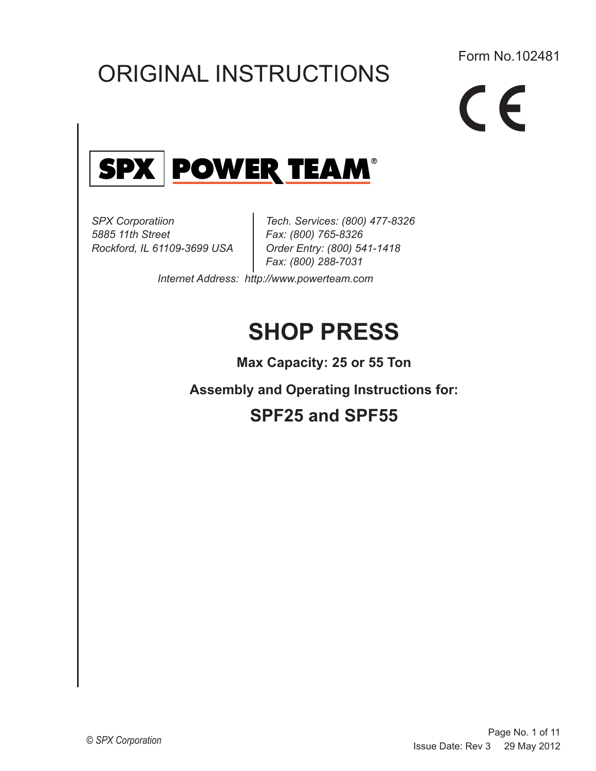# ORIGINAL INSTRUCTIONS

### Form No.102481

C E Hytec logo - appearing in color use Pantone No. 252 for underline. Y must be dropped and ® (Alt 0174) must appear as shown.



*SPX Corporatiion 5885 11th Street Rockford, IL 61109-3699 USA*

*Tech. Services: (800) 477-8326 Fax: (800) 765-8326 Order Entry: (800) 541-1418 Fax: (800) 288-7031*

*Internet Address: http://www.powerteam.com* 

# **SHOP PRESS**

**Max Capacity: 25 or 55 Ton**

**Assembly and Operating Instructions for:** 

# **SPF25 and SPF55**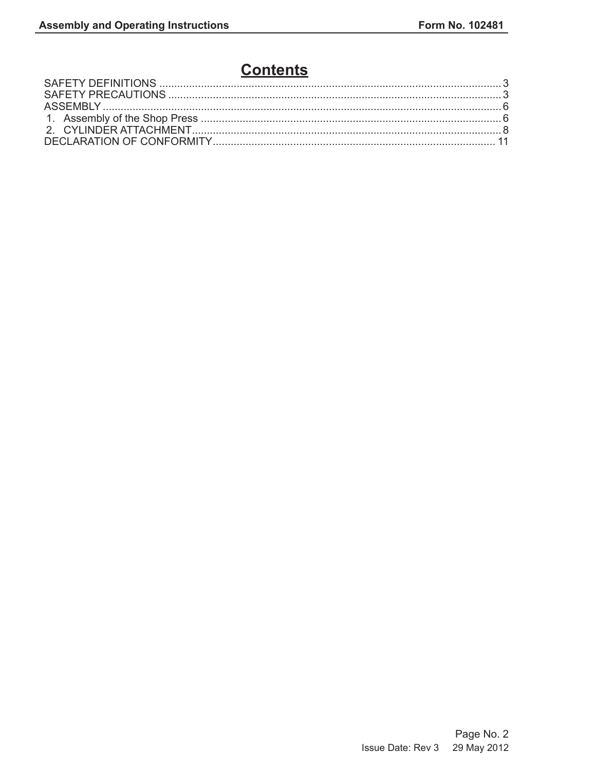## **Contents**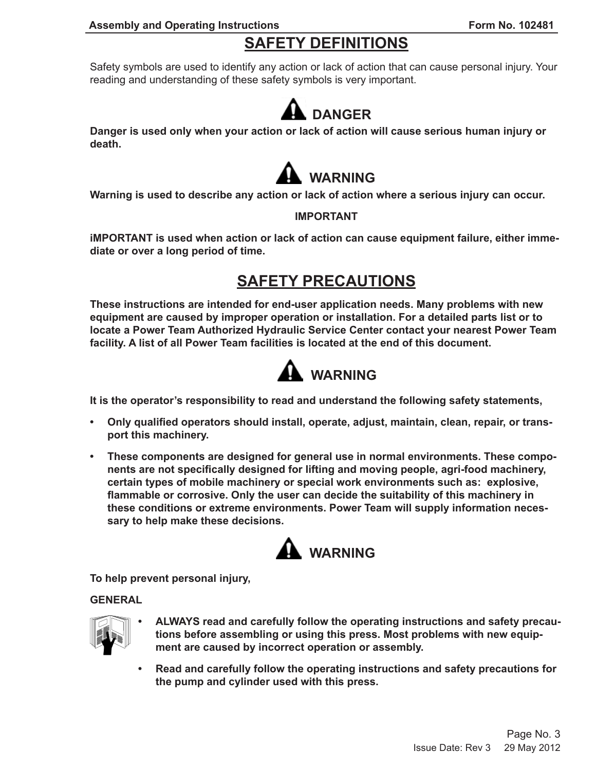## **SAFETY DEFINITIONS**

Safety symbols are used to identify any action or lack of action that can cause personal injury. Your reading and understanding of these safety symbols is very important.



**Danger is used only when your action or lack of action will cause serious human injury or death.**



**Warning is used to describe any action or lack of action where a serious injury can occur.**

### **IMPORTANT**

**iMPORTANT is used when action or lack of action can cause equipment failure, either immediate or over a long period of time.**

### **SAFETY PRECAUTIONS**

**These instructions are intended for end-user application needs. Many problems with new equipment are caused by improper operation or installation. For a detailed parts list or to locate a Power Team Authorized Hydraulic Service Center contact your nearest Power Team facility. A list of all Power Team facilities is located at the end of this document.**



**It is the operator's responsibility to read and understand the following safety statements,**

- **• Only qualified operators should install, operate, adjust, maintain, clean, repair, or transport this machinery.**
- **• These components are designed for general use in normal environments. These components are not specifically designed for lifting and moving people, agri-food machinery, certain types of mobile machinery or special work environments such as: explosive, flammable or corrosive. Only the user can decide the suitability of this machinery in these conditions or extreme environments. Power Team will supply information necessary to help make these decisions.**



**To help prevent personal injury,**

**GENERAL**



- **• ALWAYS read and carefully follow the operating instructions and safety precautions before assembling or using this press. Most problems with new equipment are caused by incorrect operation or assembly.**
- **• Read and carefully follow the operating instructions and safety precautions for the pump and cylinder used with this press.**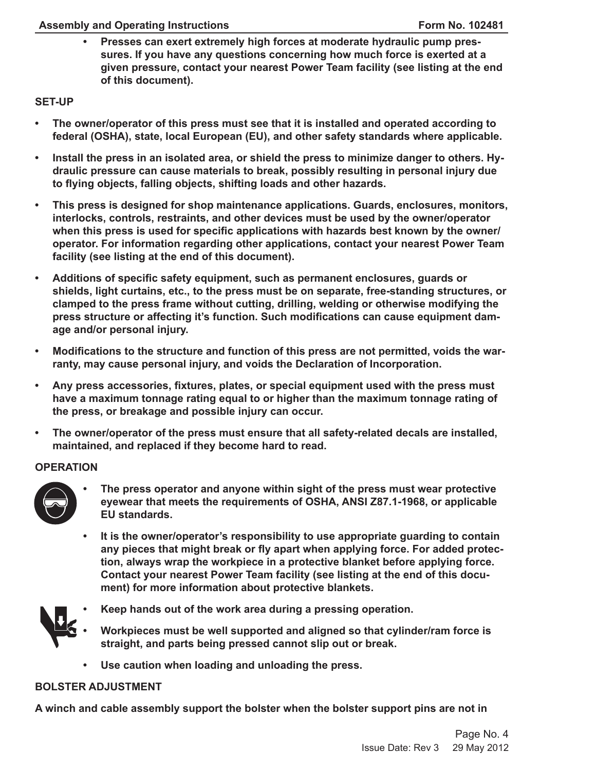**• Presses can exert extremely high forces at moderate hydraulic pump pressures. If you have any questions concerning how much force is exerted at a given pressure, contact your nearest Power Team facility (see listing at the end of this document).**

### **SET-UP**

- **• The owner/operator of this press must see that it is installed and operated according to federal (OSHA), state, local European (EU), and other safety standards where applicable.**
- **• Install the press in an isolated area, or shield the press to minimize danger to others. Hydraulic pressure can cause materials to break, possibly resulting in personal injury due to flying objects, falling objects, shifting loads and other hazards.**
- **• This press is designed for shop maintenance applications. Guards, enclosures, monitors, interlocks, controls, restraints, and other devices must be used by the owner/operator when this press is used for specific applications with hazards best known by the owner/ operator. For information regarding other applications, contact your nearest Power Team facility (see listing at the end of this document).**
- **• Additions of specific safety equipment, such as permanent enclosures, guards or shields, light curtains, etc., to the press must be on separate, free-standing structures, or clamped to the press frame without cutting, drilling, welding or otherwise modifying the press structure or affecting it's function. Such modifications can cause equipment damage and/or personal injury.**
- **• Modifications to the structure and function of this press are not permitted, voids the warranty, may cause personal injury, and voids the Declaration of Incorporation.**
- **• Any press accessories, fixtures, plates, or special equipment used with the press must have a maximum tonnage rating equal to or higher than the maximum tonnage rating of the press, or breakage and possible injury can occur.**
- **• The owner/operator of the press must ensure that all safety-related decals are installed, maintained, and replaced if they become hard to read.**

### **OPERATION**



- **• The press operator and anyone within sight of the press must wear protective eyewear that meets the requirements of OSHA, ANSI Z87.1-1968, or applicable EU standards.**
- **• It is the owner/operator's responsibility to use appropriate guarding to contain any pieces that might break or fly apart when applying force. For added protection, always wrap the workpiece in a protective blanket before applying force. Contact your nearest Power Team facility (see listing at the end of this document) for more information about protective blankets.**



- **• Keep hands out of the work area during a pressing operation.**
- **• Workpieces must be well supported and aligned so that cylinder/ram force is straight, and parts being pressed cannot slip out or break.**
- **• Use caution when loading and unloading the press.**

### **BOLSTER ADJUSTMENT**

**A winch and cable assembly support the bolster when the bolster support pins are not in**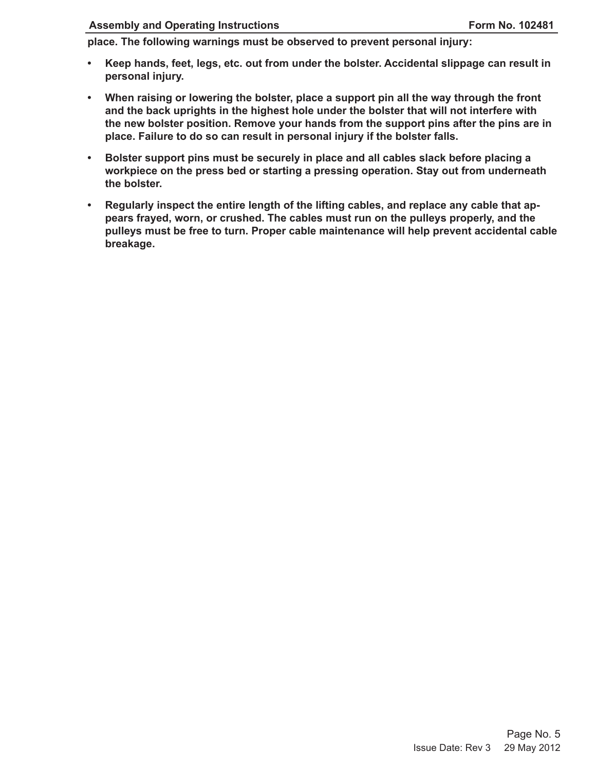### **Assembly and Operating Instructions Form No. 102481**

**place. The following warnings must be observed to prevent personal injury:**

- **• Keep hands, feet, legs, etc. out from under the bolster. Accidental slippage can result in personal injury.**
- **• When raising or lowering the bolster, place a support pin all the way through the front and the back uprights in the highest hole under the bolster that will not interfere with the new bolster position. Remove your hands from the support pins after the pins are in place. Failure to do so can result in personal injury if the bolster falls.**
- **• Bolster support pins must be securely in place and all cables slack before placing a workpiece on the press bed or starting a pressing operation. Stay out from underneath the bolster.**
- **• Regularly inspect the entire length of the lifting cables, and replace any cable that appears frayed, worn, or crushed. The cables must run on the pulleys properly, and the pulleys must be free to turn. Proper cable maintenance will help prevent accidental cable breakage.**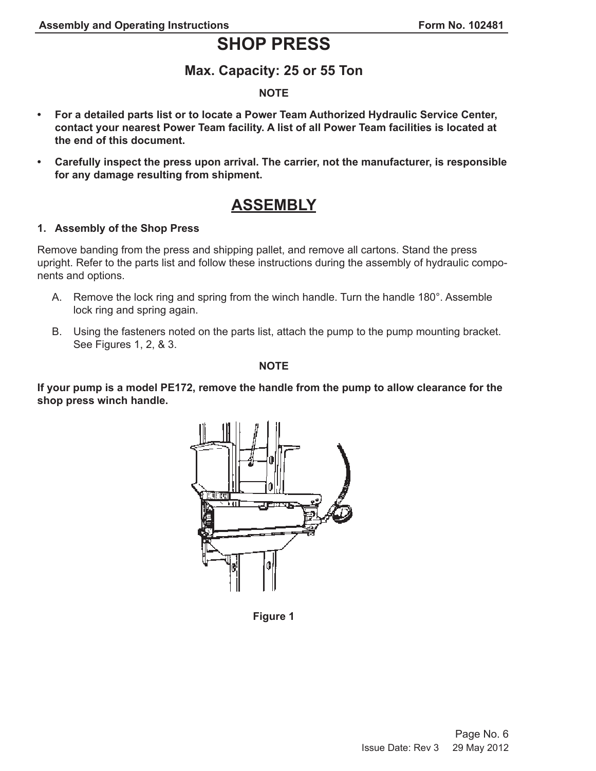## **SHOP PRESS**

### **Max. Capacity: 25 or 55 Ton**

### **NOTE**

- **• For a detailed parts list or to locate a Power Team Authorized Hydraulic Service Center, contact your nearest Power Team facility. A list of all Power Team facilities is located at the end of this document.**
- **• Carefully inspect the press upon arrival. The carrier, not the manufacturer, is responsible for any damage resulting from shipment.**

### **ASSEMBLY**

### **1. Assembly of the Shop Press**

Remove banding from the press and shipping pallet, and remove all cartons. Stand the press upright. Refer to the parts list and follow these instructions during the assembly of hydraulic components and options.

- A. Remove the lock ring and spring from the winch handle. Turn the handle 180°. Assemble lock ring and spring again.
- B. Using the fasteners noted on the parts list, attach the pump to the pump mounting bracket. See Figures 1, 2, & 3.

**NOTE**

**If your pump is a model PE172, remove the handle from the pump to allow clearance for the shop press winch handle.**



**Figure 1**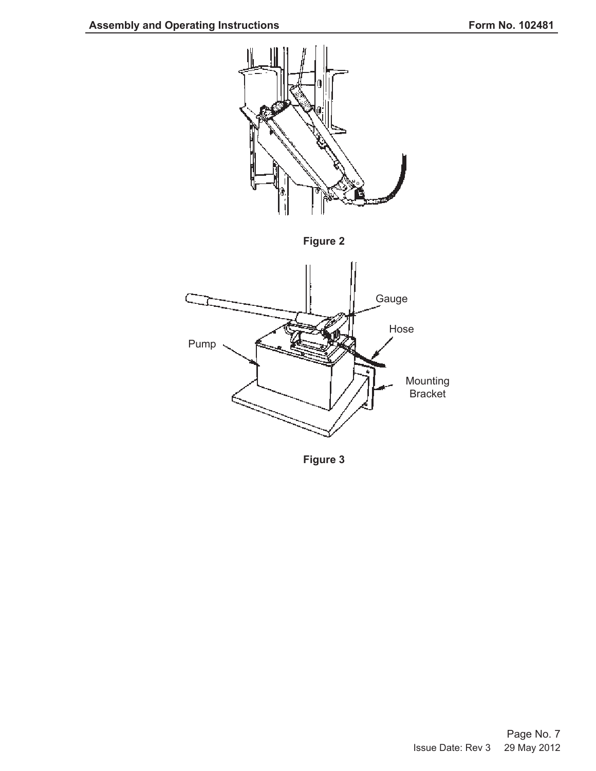

**Figure 3**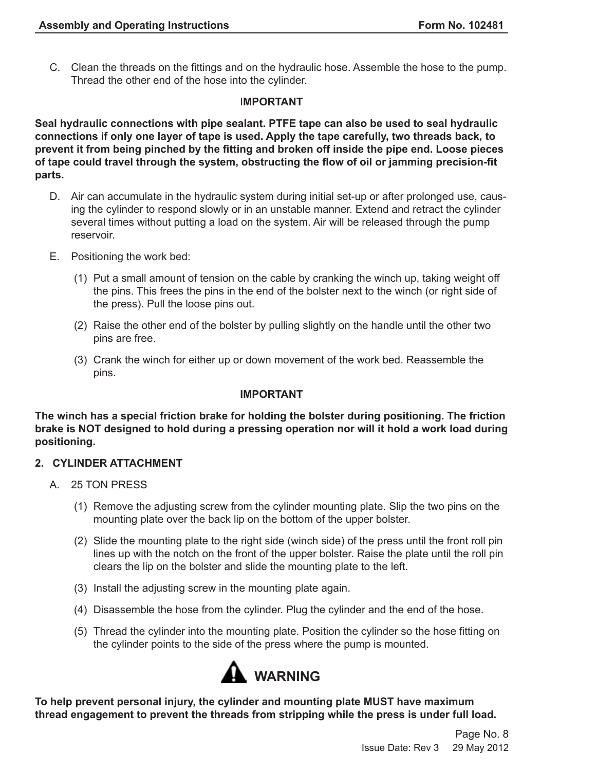C. Clean the threads on the fittings and on the hydraulic hose. Assemble the hose to the pump. Thread the other end of the hose into the cylinder.

### I**MPORTANT**

**Seal hydraulic connections with pipe sealant. PTFE tape can also be used to seal hydraulic connections if only one layer of tape is used. Apply the tape carefully, two threads back, to prevent it from being pinched by the fitting and broken off inside the pipe end. Loose pieces of tape could travel through the system, obstructing the flow of oil or jamming precision-fit parts.**

- D. Air can accumulate in the hydraulic system during initial set-up or after prolonged use, causing the cylinder to respond slowly or in an unstable manner. Extend and retract the cylinder several times without putting a load on the system. Air will be released through the pump reservoir.
- E. Positioning the work bed:
	- (1) Put a small amount of tension on the cable by cranking the winch up, taking weight off the pins. This frees the pins in the end of the bolster next to the winch (or right side of the press). Pull the loose pins out.
	- (2) Raise the other end of the bolster by pulling slightly on the handle until the other two pins are free.
	- (3) Crank the winch for either up or down movement of the work bed. Reassemble the pins.

### **IMPORTANT**

**The winch has a special friction brake for holding the bolster during positioning. The friction brake is NOT designed to hold during a pressing operation nor will it hold a work load during positioning.**

### **2. CYLINDER ATTACHMENT**

- A. 25 TON PRESS
	- (1) Remove the adjusting screw from the cylinder mounting plate. Slip the two pins on the mounting plate over the back lip on the bottom of the upper bolster.
	- (2) Slide the mounting plate to the right side (winch side) of the press until the front roll pin lines up with the notch on the front of the upper bolster. Raise the plate until the roll pin clears the lip on the bolster and slide the mounting plate to the left.
	- (3) Install the adjusting screw in the mounting plate again.
	- (4) Disassemble the hose from the cylinder. Plug the cylinder and the end of the hose.
	- (5) Thread the cylinder into the mounting plate. Position the cylinder so the hose fitting on the cylinder points to the side of the press where the pump is mounted.



**To help prevent personal injury, the cylinder and mounting plate MUST have maximum thread engagement to prevent the threads from stripping while the press is under full load.**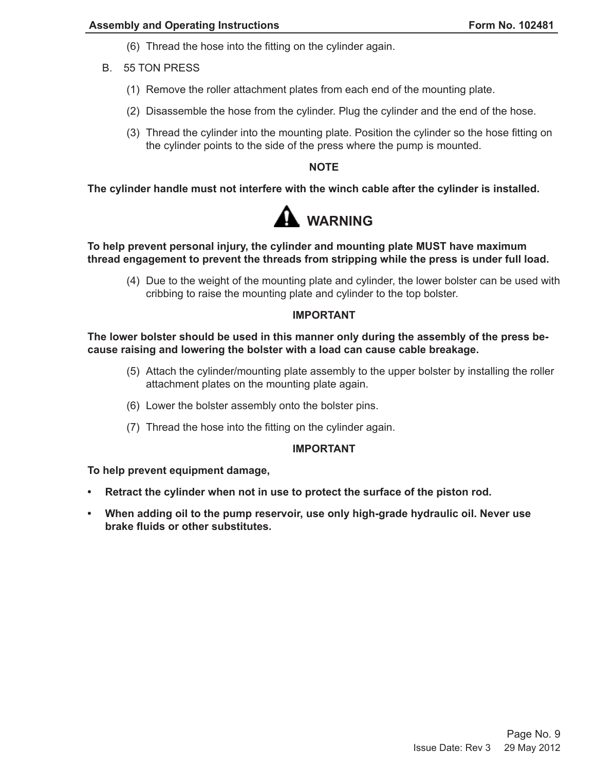- (6) Thread the hose into the fitting on the cylinder again.
- B. 55 TON PRESS
	- (1) Remove the roller attachment plates from each end of the mounting plate.
	- (2) Disassemble the hose from the cylinder. Plug the cylinder and the end of the hose.
	- (3) Thread the cylinder into the mounting plate. Position the cylinder so the hose fitting on the cylinder points to the side of the press where the pump is mounted.

### **NOTE**

**The cylinder handle must not interfere with the winch cable after the cylinder is installed.**



### **To help prevent personal injury, the cylinder and mounting plate MUST have maximum thread engagement to prevent the threads from stripping while the press is under full load.**

(4) Due to the weight of the mounting plate and cylinder, the lower bolster can be used with cribbing to raise the mounting plate and cylinder to the top bolster.

### **IMPORTANT**

### **The lower bolster should be used in this manner only during the assembly of the press because raising and lowering the bolster with a load can cause cable breakage.**

- (5) Attach the cylinder/mounting plate assembly to the upper bolster by installing the roller attachment plates on the mounting plate again.
- (6) Lower the bolster assembly onto the bolster pins.
- (7) Thread the hose into the fitting on the cylinder again.

#### **IMPORTANT**

#### **To help prevent equipment damage,**

- **• Retract the cylinder when not in use to protect the surface of the piston rod.**
- **• When adding oil to the pump reservoir, use only high-grade hydraulic oil. Never use brake fluids or other substitutes.**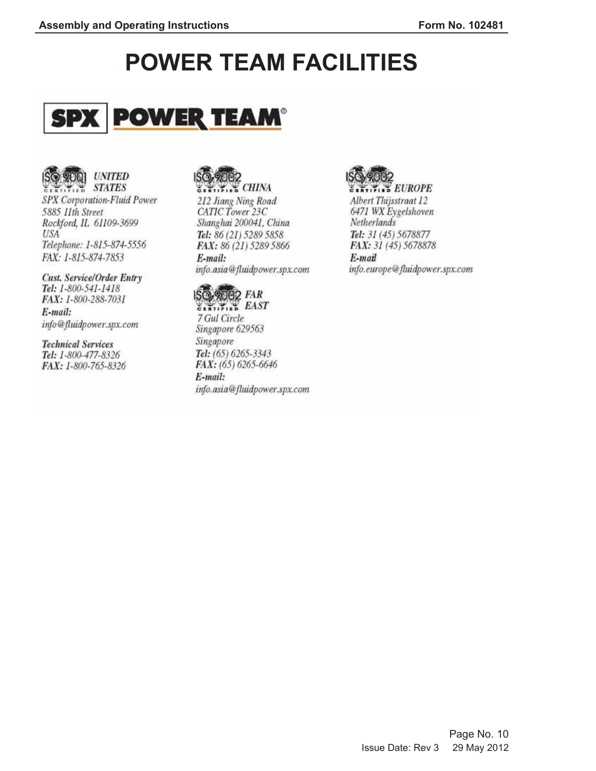# **POWER TEAM FACILITIES**





STATES STATES SPX Corporation-Fluid Power 5885 11th Street Rockford, IL 61109-3699 **USA** Telephone: 1-815-874-5556 FAX: 1-815-874-7853

**Cust. Service/Order Entry** Tel: 1-800-541-1418 FAX: 1-800-288-7031 E-mail: info@fluidpower.spx.com

**Technical Services** Tel: 1-800-477-8326 FAX: 1-800-765-8326



212 Jiang Ning Road CATIC Tower 23C Shanghai 200041, China Tel: 86 (21) 5289 5858 FAX: 86 (21) 5289 5866 E-mail: info.asia@fluidpower.spx.com



7 Gul Circle Singapore 629563 Singapore Tel: (65) 6265-3343 FAX: (65) 6265-6646 E-mail: info.asia@fluidpower.spx.com



**CARTIFIED EUROPE** Albert Thijsstraat 12 6471 WX Eygelshoven Netherlands Tel: 31 (45) 5678877 FAX: 31 (45) 5678878

E-mail info.europe@fluidpower.spx.com